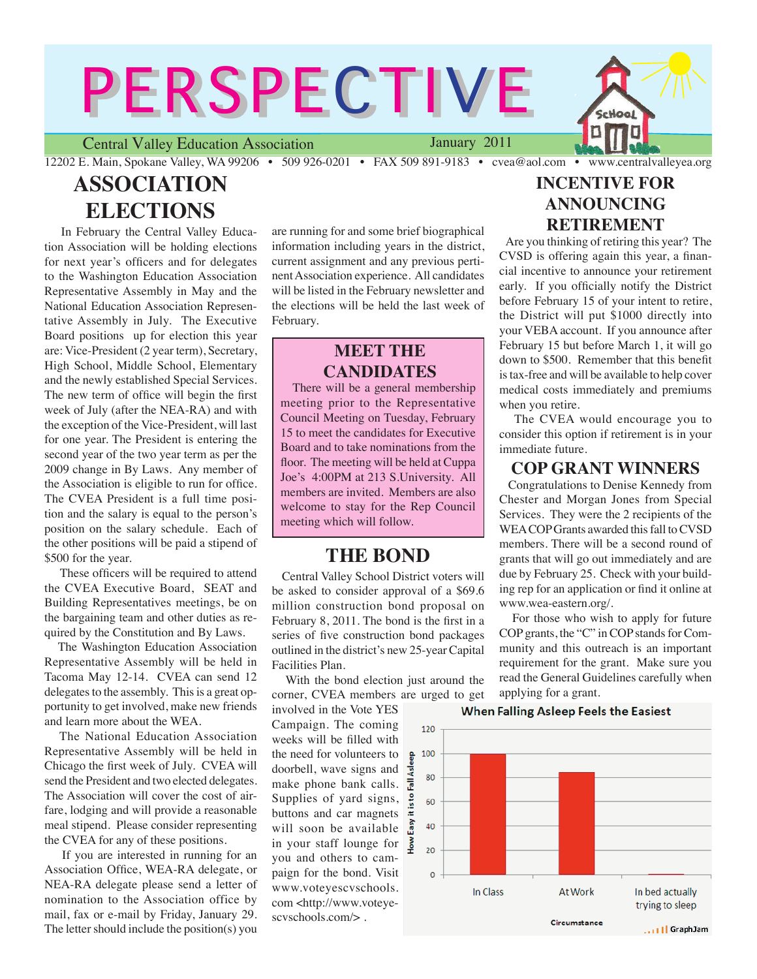# PERSPECTIVE

Central Valley Education Association January 2011

12202 E. Main, Spokane Valley, WA 99206 • 509 926-0201 • FAX 509 891-9183 • cvea@aol.com • www.centralvalleyea.org

# **ASSOCIATION ELECTIONS**

 In February the Central Valley Education Association will be holding elections for next year's officers and for delegates to the Washington Education Association Representative Assembly in May and the National Education Association Representative Assembly in July. The Executive Board positions up for election this year are: Vice-President (2 year term), Secretary, High School, Middle School, Elementary and the newly established Special Services. The new term of office will begin the first week of July (after the NEA-RA) and with the exception of the Vice-President, will last for one year. The President is entering the second year of the two year term as per the 2009 change in By Laws. Any member of the Association is eligible to run for office. The CVEA President is a full time position and the salary is equal to the person's position on the salary schedule. Each of the other positions will be paid a stipend of \$500 for the year.

 These officers will be required to attend the CVEA Executive Board, SEAT and Building Representatives meetings, be on the bargaining team and other duties as required by the Constitution and By Laws.

 The Washington Education Association Representative Assembly will be held in Tacoma May 12-14. CVEA can send 12 delegates to the assembly. This is a great opportunity to get involved, make new friends and learn more about the WEA.

 The National Education Association Representative Assembly will be held in Chicago the first week of July. CVEA will send the President and two elected delegates. The Association will cover the cost of airfare, lodging and will provide a reasonable meal stipend. Please consider representing the CVEA for any of these positions.

 If you are interested in running for an Association Office, WEA-RA delegate, or NEA-RA delegate please send a letter of nomination to the Association office by mail, fax or e-mail by Friday, January 29. The letter should include the position(s) you

are running for and some brief biographical information including years in the district, current assignment and any previous pertinent Association experience. All candidates will be listed in the February newsletter and the elections will be held the last week of February.

## **MEET THE CANDIDATES**

 There will be a general membership meeting prior to the Representative Council Meeting on Tuesday, February 15 to meet the candidates for Executive Board and to take nominations from the floor. The meeting will be held at Cuppa Joe's 4:00PM at 213 S.University. All members are invited. Members are also welcome to stay for the Rep Council meeting which will follow.

### **THE BOND**

 Central Valley School District voters will be asked to consider approval of a \$69.6 million construction bond proposal on February 8, 2011. The bond is the first in a series of five construction bond packages outlined in the district's new 25-year Capital Facilities Plan.

 With the bond election just around the corner, CVEA members are urged to get

involved in the Vote YES Campaign. The coming weeks will be filled with the need for volunteers to  $\frac{a}{b}$ doorbell, wave signs and make phone bank calls.  $\frac{1}{x}$ Supplies of yard signs,  $\frac{2}{x}$ buttons and car magnets will soon be available  $\frac{1}{2}$ in your staff lounge for 3 you and others to campaign for the bond. Visit www.voteyescvschools. com <http://www.voteyescvschools.com/> .

## **INCENTIVE FOR ANNOUNCING RETIREMENT**

 Are you thinking of retiring this year? The CVSD is offering again this year, a financial incentive to announce your retirement early. If you officially notify the District before February 15 of your intent to retire, the District will put \$1000 directly into your VEBA account. If you announce after February 15 but before March 1, it will go down to \$500. Remember that this benefit is tax-free and will be available to help cover medical costs immediately and premiums when you retire.

 The CVEA would encourage you to consider this option if retirement is in your immediate future.

#### **COP GRANT WINNERS**

 Congratulations to Denise Kennedy from Chester and Morgan Jones from Special Services. They were the 2 recipients of the WEA COP Grants awarded this fall to CVSD members. There will be a second round of grants that will go out immediately and are due by February 25. Check with your building rep for an application or find it online at www.wea-eastern.org/.

 For those who wish to apply for future COP grants, the "C" in COP stands for Community and this outreach is an important requirement for the grant. Make sure you read the General Guidelines carefully when applying for a grant.



**When Falling Asleep Feels the Easiest**